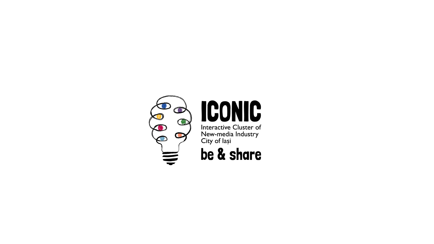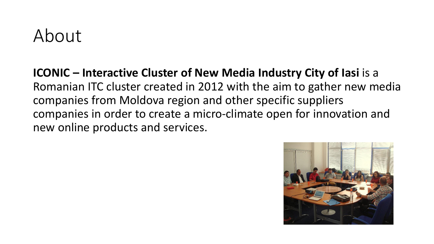#### About

**ICONIC – Interactive Cluster of New Media Industry City of lasi** is a Romanian ITC cluster created in 2012 with the aim to gather new media companies from Moldova region and other specific suppliers companies in order to create a micro-climate open for innovation and new online products and services.

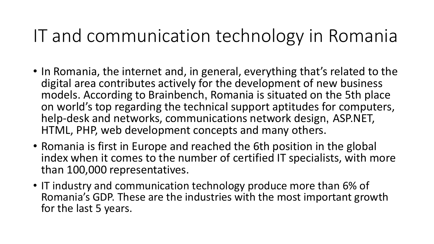## IT and communication technology in Romania

- In Romania, the internet and, in general, everything that's related to the digital area contributes actively for the development of new business models. According to Brainbench, Romania is situated on the 5th place on world's top regarding the technical support aptitudes for computers, help-desk and networks, communications network design, ASP.NET, HTML, PHP, web development concepts and many others.
- Romania is first in Europe and reached the 6th position in the global index when it comes to the number of certified IT specialists, with more than 100,000 representatives.
- IT industry and communication technology produce more than 6% of Romania's GDP. These are the industries with the most important growth for the last 5 years.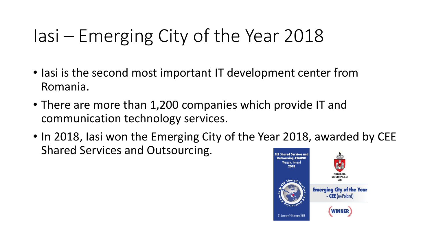# Iasi – Emerging City of the Year 2018

- Iasi is the second most important IT development center from Romania.
- There are more than 1,200 companies which provide IT and communication technology services.
- In 2018, Iasi won the Emerging City of the Year 2018, awarded by CEE Shared Services and Outsourcing.**CEE Shared Services and**

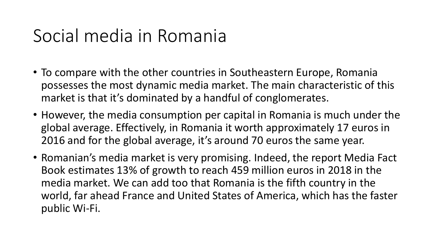### Social media in Romania

- To compare with the other countries in Southeastern Europe, Romania possesses the most dynamic media market. The main characteristic of this market is that it's dominated by a handful of conglomerates.
- However, the media consumption per capital in Romania is much under the global average. Effectively, in Romania it worth approximately 17 euros in 2016 and for the global average, it's around 70 euros the same year.
- Romanian's media market is very promising. Indeed, the report Media Fact Book estimates 13% of growth to reach 459 million euros in 2018 in the media market. We can add too that Romania is the fifth country in the world, far ahead France and United States of America, which has the faster public Wi-Fi.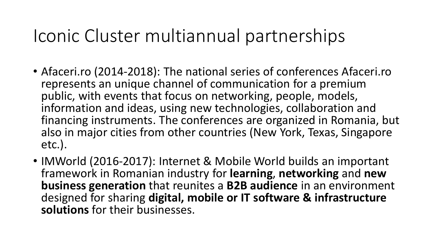### Iconic Cluster multiannual partnerships

- Afaceri.ro (2014-2018): The national series of conferences Afaceri.ro represents an unique channel of communication for a premium public, with events that focus on networking, people, models, information and ideas, using new technologies, collaboration and financing instruments. The conferences are organized in Romania, but also in major cities from other countries (New York, Texas, Singapore etc.).
- IMWorld (2016-2017): Internet & Mobile World builds an important framework in Romanian industry for **learning**, **networking** and **new business generation** that reunites a **B2B audience** in an environment designed for sharing **digital, mobile or IT software & infrastructure solutions** for their businesses.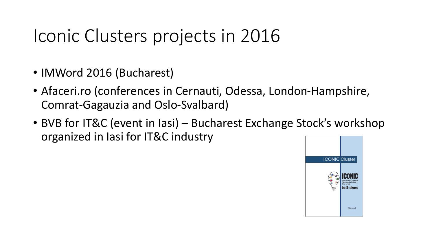## Iconic Clusters projects in 2016

- IMWord 2016 (Bucharest)
- Afaceri.ro (conferences in Cernauti, Odessa, London-Hampshire, Comrat-Gagauzia and Oslo-Svalbard)
- BVB for IT&C (event in Iasi) Bucharest Exchange Stock's workshop organized in Iasi for IT&C industry

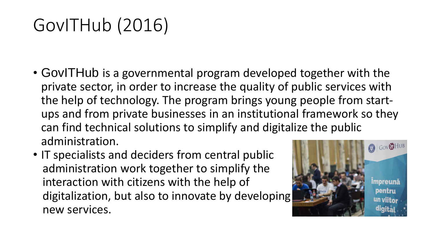# GovITHub (2016)

- GovITHub is a governmental program developed together with the private sector, in order to increase the quality of public services with the help of technology. The program brings young people from startups and from private businesses in an institutional framework so they can find technical solutions to simplify and digitalize the public administration.
- IT specialists and deciders from central public administration work together to simplify the interaction with citizens with the help of digitalization, but also to innovate by developing new services.

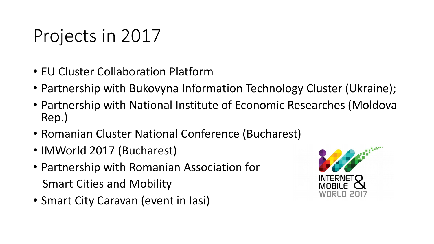# Projects in 2017

- EU Cluster Collaboration Platform
- Partnership with Bukovyna Information Technology Cluster (Ukraine);
- Partnership with National Institute of Economic Researches (Moldova Rep.)
- Romanian Cluster National Conference (Bucharest)
- IMWorld 2017 (Bucharest)
- Partnership with Romanian Association for Smart Cities and Mobility
- Smart City Caravan (event in Iasi)

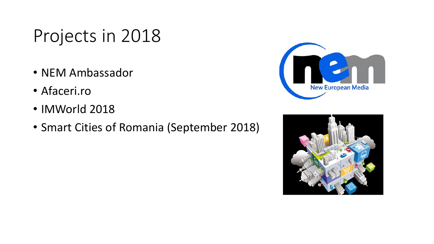# Projects in 2018

- NEM Ambassador
- Afaceri.ro
- IMWorld 2018
- Smart Cities of Romania (September 2018)



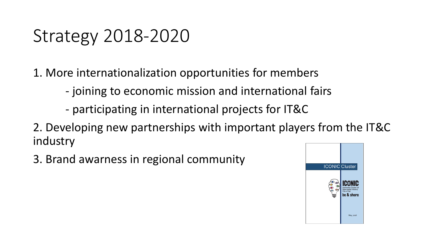# Strategy 2018-2020

1. More internationalization opportunities for members

- joining to economic mission and international fairs
- participating in international projects for IT&C
- 2. Developing new partnerships with important players from the IT&C industry
- 3. Brand awarness in regional community